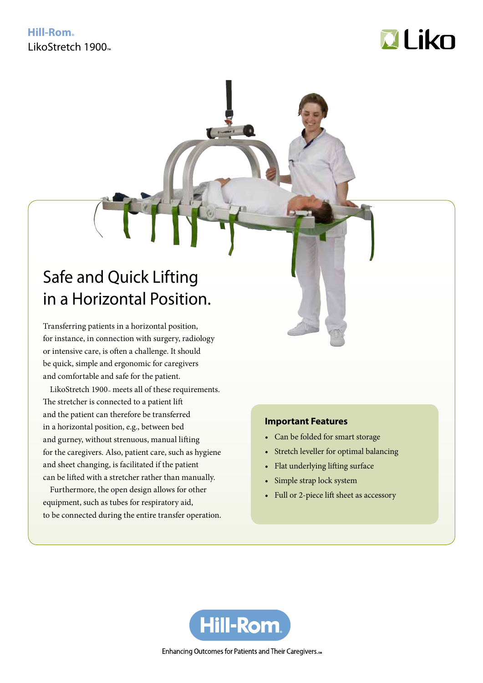# **Hill-Rom** LikoStretch 1900



# Safe and Quick Lifting in a Horizontal Position.

Transferring patients in a horizontal position, for instance, in connection with surgery, radiology or intensive care, is often a challenge. It should be quick, simple and ergonomic for caregivers and comfortable and safe for the patient.

LikoStretch 1900 $<sub>™</sub>$  meets all of these requirements.</sub> The stretcher is connected to a patient lift and the patient can therefore be transferred in a horizontal position, e.g., between bed and gurney, without strenuous, manual lifting for the caregivers. Also, patient care, such as hygiene and sheet changing, is facilitated if the patient can be lifted with a stretcher rather than manually.

Furthermore, the open design allows for other equipment, such as tubes for respiratory aid, to be connected during the entire transfer operation.

# **Important Features**

- • Can be folded for smart storage
- • Stretch leveller for optimal balancing
- Flat underlying lifting surface
- Simple strap lock system
- Full or 2-piece lift sheet as accessory



Enhancing Outcomes for Patients and Their Caregivers.